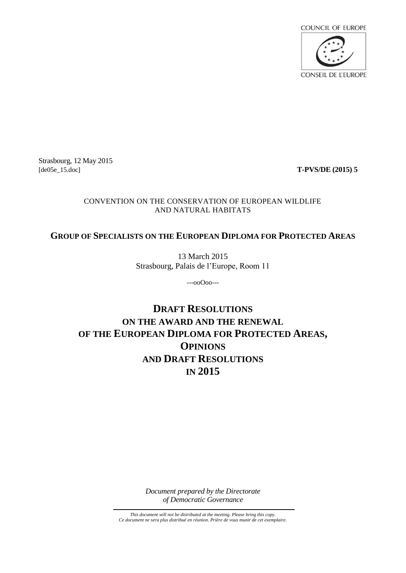

Strasbourg, 12 May 2015 [de05e\_15.doc] **T-PVS/DE (2015) 5**

#### CONVENTION ON THE CONSERVATION OF EUROPEAN WILDLIFE AND NATURAL HABITATS

#### **GROUP OF SPECIALISTS ON THE EUROPEAN DIPLOMA FOR PROTECTED AREAS**

13 March 2015 Strasbourg, Palais de l'Europe, Room 11

---ooOoo---

# **DRAFT RESOLUTIONS ON THE AWARD AND THE RENEWAL OF THE EUROPEAN DIPLOMA FOR PROTECTED AREAS, OPINIONS AND DRAFT RESOLUTIONS IN 2015**

*Document prepared by the Directorate of Democratic Governance*

*This document will not be distributed at the meeting. Please bring this copy. Ce document ne sera plus distribué en réunion. Prière de vous munir de cet exemplaire.*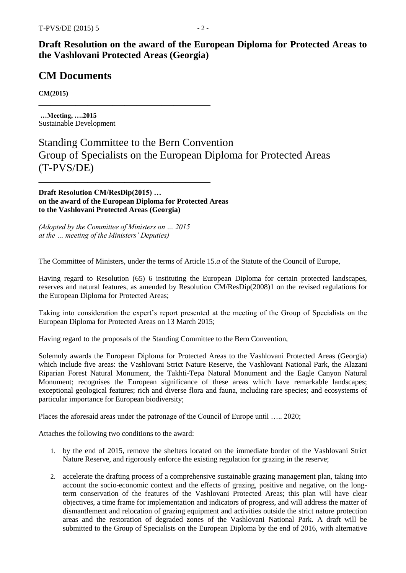### **Draft Resolution on the award of the European Diploma for Protected Areas to the Vashlovani Protected Areas (Georgia)**

## **CM Documents**

**CM(2015)**

**…Meeting, ….2015** Sustainable Development

# Standing Committee to the Bern Convention Group of Specialists on the European Diploma for Protected Areas (T-PVS/DE)

**Draft Resolution CM/ResDip(2015) … on the award of the European Diploma for Protected Areas to the Vashlovani Protected Areas (Georgia)**

**——————————————**

**——————————————**

*(Adopted by the Committee of Ministers on … 2015 at the … meeting of the Ministers' Deputies)*

The Committee of Ministers, under the terms of Article 15.*a* of the Statute of the Council of Europe,

Having regard to Resolution (65) 6 instituting the European Diploma for certain protected landscapes, reserves and natural features, as amended by Resolution CM/ResDip(2008)1 on the revised regulations for the European Diploma for Protected Areas;

Taking into consideration the expert's report presented at the meeting of the Group of Specialists on the European Diploma for Protected Areas on 13 March 2015;

Having regard to the proposals of the Standing Committee to the Bern Convention,

Solemnly awards the European Diploma for Protected Areas to the Vashlovani Protected Areas (Georgia) which include five areas: the Vashlovani Strict Nature Reserve, the Vashlovani National Park, the Alazani Riparian Forest Natural Monument, the Takhti-Tepa Natural Monument and the Eagle Canyon Natural Monument; recognises the European significance of these areas which have remarkable landscapes; exceptional geological features; rich and diverse flora and fauna, including rare species; and ecosystems of particular importance for European biodiversity;

Places the aforesaid areas under the patronage of the Council of Europe until ….. 2020;

Attaches the following two conditions to the award:

- 1. by the end of 2015, remove the shelters located on the immediate border of the Vashlovani Strict Nature Reserve, and rigorously enforce the existing regulation for grazing in the reserve;
- 2. accelerate the drafting process of a comprehensive sustainable grazing management plan, taking into account the socio-economic context and the effects of grazing, positive and negative, on the longterm conservation of the features of the Vashlovani Protected Areas; this plan will have clear objectives, a time frame for implementation and indicators of progress, and will address the matter of dismantlement and relocation of grazing equipment and activities outside the strict nature protection areas and the restoration of degraded zones of the Vashlovani National Park. A draft will be submitted to the Group of Specialists on the European Diploma by the end of 2016, with alternative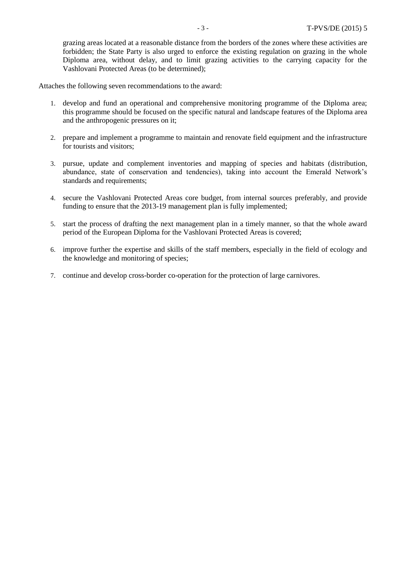grazing areas located at a reasonable distance from the borders of the zones where these activities are forbidden; the State Party is also urged to enforce the existing regulation on grazing in the whole Diploma area, without delay, and to limit grazing activities to the carrying capacity for the Vashlovani Protected Areas (to be determined);

Attaches the following seven recommendations to the award:

- 1. develop and fund an operational and comprehensive monitoring programme of the Diploma area; this programme should be focused on the specific natural and landscape features of the Diploma area and the anthropogenic pressures on it;
- 2. prepare and implement a programme to maintain and renovate field equipment and the infrastructure for tourists and visitors;
- 3. pursue, update and complement inventories and mapping of species and habitats (distribution, abundance, state of conservation and tendencies), taking into account the Emerald Network's standards and requirements;
- 4. secure the Vashlovani Protected Areas core budget, from internal sources preferably, and provide funding to ensure that the 2013-19 management plan is fully implemented;
- 5. start the process of drafting the next management plan in a timely manner, so that the whole award period of the European Diploma for the Vashlovani Protected Areas is covered;
- 6. improve further the expertise and skills of the staff members, especially in the field of ecology and the knowledge and monitoring of species;
- 7. continue and develop cross-border co-operation for the protection of large carnivores.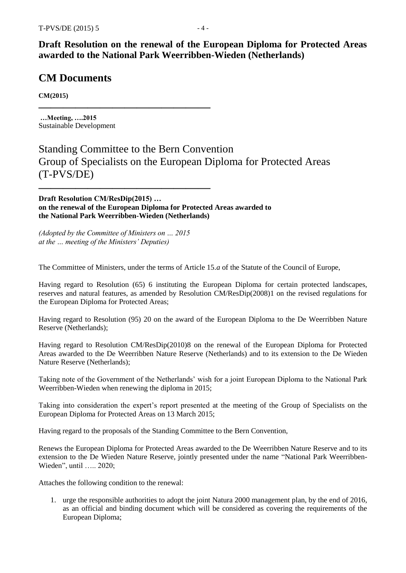**Draft Resolution on the renewal of the European Diploma for Protected Areas awarded to the National Park Weerribben-Wieden (Netherlands)**

### **CM Documents**

**CM(2015)**

**…Meeting, ….2015** Sustainable Development

# Standing Committee to the Bern Convention Group of Specialists on the European Diploma for Protected Areas (T-PVS/DE)

**Draft Resolution CM/ResDip(2015) … on the renewal of the European Diploma for Protected Areas awarded to the National Park Weerribben-Wieden (Netherlands)** 

*(Adopted by the Committee of Ministers on … 2015 at the … meeting of the Ministers' Deputies)*

**——————————————**

**——————————————**

The Committee of Ministers, under the terms of Article 15.*a* of the Statute of the Council of Europe,

Having regard to Resolution (65) 6 instituting the European Diploma for certain protected landscapes, reserves and natural features, as amended by Resolution CM/ResDip(2008)1 on the revised regulations for the European Diploma for Protected Areas;

Having regard to Resolution (95) 20 on the award of the European Diploma to the De Weerribben Nature Reserve (Netherlands);

Having regard to Resolution CM/ResDip(2010)8 on the renewal of the European Diploma for Protected Areas awarded to the De Weerribben Nature Reserve (Netherlands) and to its extension to the De Wieden Nature Reserve (Netherlands);

Taking note of the Government of the Netherlands' wish for a joint European Diploma to the National Park Weerribben-Wieden when renewing the diploma in 2015;

Taking into consideration the expert's report presented at the meeting of the Group of Specialists on the European Diploma for Protected Areas on 13 March 2015;

Having regard to the proposals of the Standing Committee to the Bern Convention,

Renews the European Diploma for Protected Areas awarded to the De Weerribben Nature Reserve and to its extension to the De Wieden Nature Reserve, jointly presented under the name "National Park Weerribben-Wieden", until ….. 2020;

Attaches the following condition to the renewal:

1. urge the responsible authorities to adopt the joint Natura 2000 management plan, by the end of 2016, as an official and binding document which will be considered as covering the requirements of the European Diploma;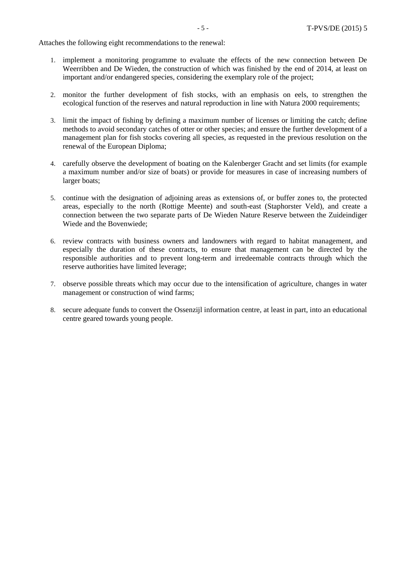Attaches the following eight recommendations to the renewal:

- 1. implement a monitoring programme to evaluate the effects of the new connection between De Weerribben and De Wieden, the construction of which was finished by the end of 2014, at least on important and/or endangered species, considering the exemplary role of the project;
- 2. monitor the further development of fish stocks, with an emphasis on eels, to strengthen the ecological function of the reserves and natural reproduction in line with Natura 2000 requirements;
- 3. limit the impact of fishing by defining a maximum number of licenses or limiting the catch; define methods to avoid secondary catches of otter or other species; and ensure the further development of a management plan for fish stocks covering all species, as requested in the previous resolution on the renewal of the European Diploma;
- 4. carefully observe the development of boating on the Kalenberger Gracht and set limits (for example a maximum number and/or size of boats) or provide for measures in case of increasing numbers of larger boats;
- 5. continue with the designation of adjoining areas as extensions of, or buffer zones to, the protected areas, especially to the north (Rottige Meente) and south-east (Staphorster Veld), and create a connection between the two separate parts of De Wieden Nature Reserve between the Zuideindiger Wiede and the Bovenwiede;
- 6. review contracts with business owners and landowners with regard to habitat management, and especially the duration of these contracts, to ensure that management can be directed by the responsible authorities and to prevent long-term and irredeemable contracts through which the reserve authorities have limited leverage;
- 7. observe possible threats which may occur due to the intensification of agriculture, changes in water management or construction of wind farms;
- 8. secure adequate funds to convert the Ossenzijl information centre, at least in part, into an educational centre geared towards young people.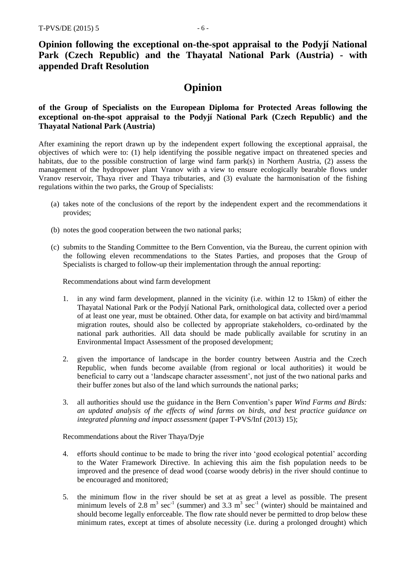**Opinion following the exceptional on-the-spot appraisal to the Podyjí National Park (Czech Republic) and the Thayatal National Park (Austria) - with appended Draft Resolution**

### **Opinion**

#### **of the Group of Specialists on the European Diploma for Protected Areas following the exceptional on-the-spot appraisal to the Podyjí National Park (Czech Republic) and the Thayatal National Park (Austria)**

After examining the report drawn up by the independent expert following the exceptional appraisal, the objectives of which were to: (1) help identifying the possible negative impact on threatened species and habitats, due to the possible construction of large wind farm park(s) in Northern Austria, (2) assess the management of the hydropower plant Vranov with a view to ensure ecologically bearable flows under Vranov reservoir, Thaya river and Thaya tributaries, and (3) evaluate the harmonisation of the fishing regulations within the two parks, the Group of Specialists:

- (a) takes note of the conclusions of the report by the independent expert and the recommendations it provides;
- (b) notes the good cooperation between the two national parks;
- (c) submits to the Standing Committee to the Bern Convention, via the Bureau, the current opinion with the following eleven recommendations to the States Parties, and proposes that the Group of Specialists is charged to follow-up their implementation through the annual reporting:

Recommendations about wind farm development

- 1. in any wind farm development, planned in the vicinity (i.e. within 12 to 15km) of either the Thayatal National Park or the Podyjí National Park, ornithological data, collected over a period of at least one year, must be obtained. Other data, for example on bat activity and bird/mammal migration routes, should also be collected by appropriate stakeholders, co-ordinated by the national park authorities. All data should be made publically available for scrutiny in an Environmental Impact Assessment of the proposed development;
- 2. given the importance of landscape in the border country between Austria and the Czech Republic, when funds become available (from regional or local authorities) it would be beneficial to carry out a 'landscape character assessment', not just of the two national parks and their buffer zones but also of the land which surrounds the national parks;
- 3. all authorities should use the guidance in the Bern Convention's paper *Wind Farms and Birds: an updated analysis of the effects of wind farms on birds, and best practice guidance on integrated planning and impact assessment* (paper T-PVS/Inf (2013) 15);

Recommendations about the River Thaya/Dyje

- 4. efforts should continue to be made to bring the river into 'good ecological potential' according to the Water Framework Directive. In achieving this aim the fish population needs to be improved and the presence of dead wood (coarse woody debris) in the river should continue to be encouraged and monitored;
- 5. the minimum flow in the river should be set at as great a level as possible. The present minimum levels of 2.8  $m^3$  sec<sup>-1</sup> (summer) and 3.3  $m^3$  sec<sup>-1</sup> (winter) should be maintained and should become legally enforceable. The flow rate should never be permitted to drop below these minimum rates, except at times of absolute necessity (i.e. during a prolonged drought) which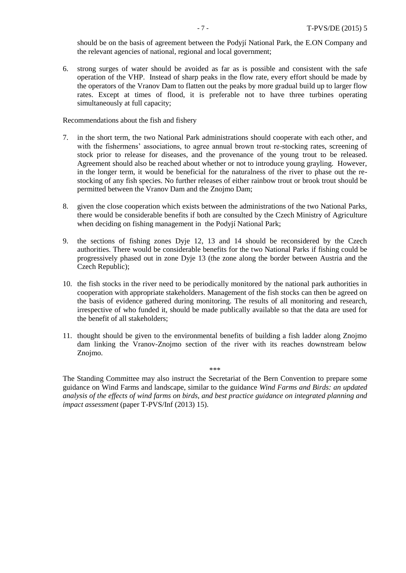should be on the basis of agreement between the Podyjí National Park, the E.ON Company and the relevant agencies of national, regional and local government;

6. strong surges of water should be avoided as far as is possible and consistent with the safe operation of the VHP. Instead of sharp peaks in the flow rate, every effort should be made by the operators of the Vranov Dam to flatten out the peaks by more gradual build up to larger flow rates. Except at times of flood, it is preferable not to have three turbines operating simultaneously at full capacity;

Recommendations about the fish and fishery

- 7. in the short term, the two National Park administrations should cooperate with each other, and with the fishermens' associations, to agree annual brown trout re-stocking rates, screening of stock prior to release for diseases, and the provenance of the young trout to be released. Agreement should also be reached about whether or not to introduce young grayling. However, in the longer term, it would be beneficial for the naturalness of the river to phase out the restocking of any fish species. No further releases of either rainbow trout or brook trout should be permitted between the Vranov Dam and the Znojmo Dam;
- 8. given the close cooperation which exists between the administrations of the two National Parks, there would be considerable benefits if both are consulted by the Czech Ministry of Agriculture when deciding on fishing management in the Podyjí National Park;
- 9. the sections of fishing zones Dyje 12, 13 and 14 should be reconsidered by the Czech authorities. There would be considerable benefits for the two National Parks if fishing could be progressively phased out in zone Dyje 13 (the zone along the border between Austria and the Czech Republic);
- 10. the fish stocks in the river need to be periodically monitored by the national park authorities in cooperation with appropriate stakeholders. Management of the fish stocks can then be agreed on the basis of evidence gathered during monitoring. The results of all monitoring and research, irrespective of who funded it, should be made publically available so that the data are used for the benefit of all stakeholders;
- 11. thought should be given to the environmental benefits of building a fish ladder along Znojmo dam linking the Vranov-Znojmo section of the river with its reaches downstream below Znojmo.

\*\*\*

The Standing Committee may also instruct the Secretariat of the Bern Convention to prepare some guidance on Wind Farms and landscape, similar to the guidance *Wind Farms and Birds: an updated analysis of the effects of wind farms on birds, and best practice guidance on integrated planning and impact assessment* (paper T-PVS/Inf (2013) 15).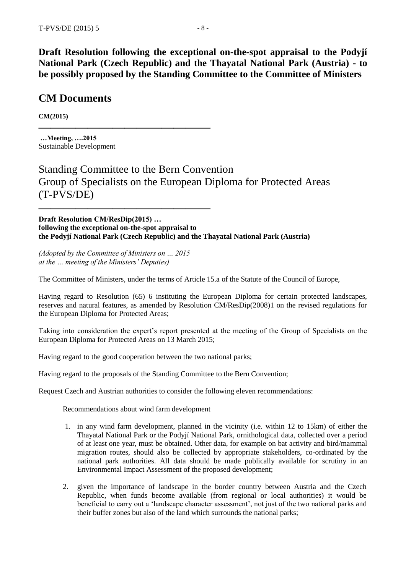**Draft Resolution following the exceptional on-the-spot appraisal to the Podyjí National Park (Czech Republic) and the Thayatal National Park (Austria) - to be possibly proposed by the Standing Committee to the Committee of Ministers**

### **CM Documents**

**CM(2015)**

**…Meeting, ….2015** Sustainable Development

Standing Committee to the Bern Convention Group of Specialists on the European Diploma for Protected Areas (T-PVS/DE)

**Draft Resolution CM/ResDip(2015) … following the exceptional on-the-spot appraisal to the Podyjí National Park (Czech Republic) and the Thayatal National Park (Austria)**

*(Adopted by the Committee of Ministers on … 2015 at the … meeting of the Ministers' Deputies)*

**——————————————**

**——————————————**

The Committee of Ministers, under the terms of Article 15.a of the Statute of the Council of Europe,

Having regard to Resolution (65) 6 instituting the European Diploma for certain protected landscapes, reserves and natural features, as amended by Resolution CM/ResDip(2008)1 on the revised regulations for the European Diploma for Protected Areas;

Taking into consideration the expert's report presented at the meeting of the Group of Specialists on the European Diploma for Protected Areas on 13 March 2015;

Having regard to the good cooperation between the two national parks;

Having regard to the proposals of the Standing Committee to the Bern Convention;

Request Czech and Austrian authorities to consider the following eleven recommendations:

Recommendations about wind farm development

- 1. in any wind farm development, planned in the vicinity (i.e. within 12 to 15km) of either the Thayatal National Park or the Podyjí National Park, ornithological data, collected over a period of at least one year, must be obtained. Other data, for example on bat activity and bird/mammal migration routes, should also be collected by appropriate stakeholders, co-ordinated by the national park authorities. All data should be made publically available for scrutiny in an Environmental Impact Assessment of the proposed development;
- 2. given the importance of landscape in the border country between Austria and the Czech Republic, when funds become available (from regional or local authorities) it would be beneficial to carry out a 'landscape character assessment', not just of the two national parks and their buffer zones but also of the land which surrounds the national parks;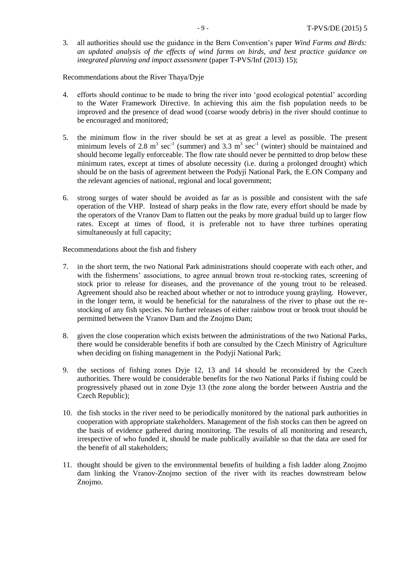3. all authorities should use the guidance in the Bern Convention's paper *Wind Farms and Birds: an updated analysis of the effects of wind farms on birds, and best practice guidance on integrated planning and impact assessment* (paper T-PVS/Inf (2013) 15);

Recommendations about the River Thaya/Dyje

- 4. efforts should continue to be made to bring the river into 'good ecological potential' according to the Water Framework Directive. In achieving this aim the fish population needs to be improved and the presence of dead wood (coarse woody debris) in the river should continue to be encouraged and monitored;
- 5. the minimum flow in the river should be set at as great a level as possible. The present minimum levels of 2.8  $m^3$  sec<sup>-1</sup> (summer) and 3.3  $m^3$  sec<sup>-1</sup> (winter) should be maintained and should become legally enforceable. The flow rate should never be permitted to drop below these minimum rates, except at times of absolute necessity (i.e. during a prolonged drought) which should be on the basis of agreement between the Podyjí National Park, the E.ON Company and the relevant agencies of national, regional and local government;
- 6. strong surges of water should be avoided as far as is possible and consistent with the safe operation of the VHP. Instead of sharp peaks in the flow rate, every effort should be made by the operators of the Vranov Dam to flatten out the peaks by more gradual build up to larger flow rates. Except at times of flood, it is preferable not to have three turbines operating simultaneously at full capacity;

Recommendations about the fish and fishery

- 7. in the short term, the two National Park administrations should cooperate with each other, and with the fishermens' associations, to agree annual brown trout re-stocking rates, screening of stock prior to release for diseases, and the provenance of the young trout to be released. Agreement should also be reached about whether or not to introduce young grayling. However, in the longer term, it would be beneficial for the naturalness of the river to phase out the restocking of any fish species. No further releases of either rainbow trout or brook trout should be permitted between the Vranov Dam and the Znojmo Dam;
- 8. given the close cooperation which exists between the administrations of the two National Parks, there would be considerable benefits if both are consulted by the Czech Ministry of Agriculture when deciding on fishing management in the Podyjí National Park;
- 9. the sections of fishing zones Dyje 12, 13 and 14 should be reconsidered by the Czech authorities. There would be considerable benefits for the two National Parks if fishing could be progressively phased out in zone Dyje 13 (the zone along the border between Austria and the Czech Republic);
- 10. the fish stocks in the river need to be periodically monitored by the national park authorities in cooperation with appropriate stakeholders. Management of the fish stocks can then be agreed on the basis of evidence gathered during monitoring. The results of all monitoring and research, irrespective of who funded it, should be made publically available so that the data are used for the benefit of all stakeholders;
- 11. thought should be given to the environmental benefits of building a fish ladder along Znojmo dam linking the Vranov-Znojmo section of the river with its reaches downstream below Znojmo.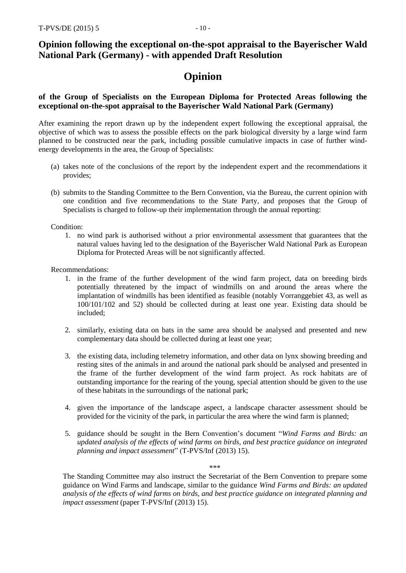### **Opinion following the exceptional on-the-spot appraisal to the Bayerischer Wald National Park (Germany) - with appended Draft Resolution**

# **Opinion**

#### **of the Group of Specialists on the European Diploma for Protected Areas following the exceptional on-the-spot appraisal to the Bayerischer Wald National Park (Germany)**

After examining the report drawn up by the independent expert following the exceptional appraisal, the objective of which was to assess the possible effects on the park biological diversity by a large wind farm planned to be constructed near the park, including possible cumulative impacts in case of further windenergy developments in the area, the Group of Specialists:

- (a) takes note of the conclusions of the report by the independent expert and the recommendations it provides;
- (b) submits to the Standing Committee to the Bern Convention, via the Bureau, the current opinion with one condition and five recommendations to the State Party, and proposes that the Group of Specialists is charged to follow-up their implementation through the annual reporting:

Condition:

1. no wind park is authorised without a prior environmental assessment that guarantees that the natural values having led to the designation of the Bayerischer Wald National Park as European Diploma for Protected Areas will be not significantly affected.

Recommendations:

- 1. in the frame of the further development of the wind farm project, data on breeding birds potentially threatened by the impact of windmills on and around the areas where the implantation of windmills has been identified as feasible (notably Vorranggebiet 43, as well as 100/101/102 and 52) should be collected during at least one year. Existing data should be included;
- 2. similarly, existing data on bats in the same area should be analysed and presented and new complementary data should be collected during at least one year;
- 3. the existing data, including telemetry information, and other data on lynx showing breeding and resting sites of the animals in and around the national park should be analysed and presented in the frame of the further development of the wind farm project. As rock habitats are of outstanding importance for the rearing of the young, special attention should be given to the use of these habitats in the surroundings of the national park;
- 4. given the importance of the landscape aspect, a landscape character assessment should be provided for the vicinity of the park, in particular the area where the wind farm is planned;
- 5. guidance should be sought in the Bern Convention's document "*Wind Farms and Birds: an updated analysis of the effects of wind farms on birds, and best practice guidance on integrated planning and impact assessment*" (T-PVS/Inf (2013) 15).

\*\*\*

The Standing Committee may also instruct the Secretariat of the Bern Convention to prepare some guidance on Wind Farms and landscape, similar to the guidance *Wind Farms and Birds: an updated analysis of the effects of wind farms on birds, and best practice guidance on integrated planning and impact assessment* (paper T-PVS/Inf (2013) 15).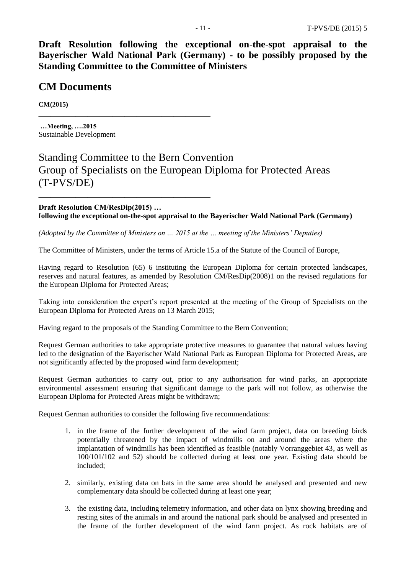**Draft Resolution following the exceptional on-the-spot appraisal to the Bayerischer Wald National Park (Germany) - to be possibly proposed by the Standing Committee to the Committee of Ministers**

### **CM Documents**

**CM(2015)**

**…Meeting, ….2015** Sustainable Development

**——————————————**

**——————————————**

# Standing Committee to the Bern Convention Group of Specialists on the European Diploma for Protected Areas (T-PVS/DE)

**Draft Resolution CM/ResDip(2015) … following the exceptional on-the-spot appraisal to the Bayerischer Wald National Park (Germany)**

*(Adopted by the Committee of Ministers on … 2015 at the … meeting of the Ministers' Deputies)*

The Committee of Ministers, under the terms of Article 15.a of the Statute of the Council of Europe,

Having regard to Resolution (65) 6 instituting the European Diploma for certain protected landscapes, reserves and natural features, as amended by Resolution CM/ResDip(2008)1 on the revised regulations for the European Diploma for Protected Areas;

Taking into consideration the expert's report presented at the meeting of the Group of Specialists on the European Diploma for Protected Areas on 13 March 2015;

Having regard to the proposals of the Standing Committee to the Bern Convention;

Request German authorities to take appropriate protective measures to guarantee that natural values having led to the designation of the Bayerischer Wald National Park as European Diploma for Protected Areas, are not significantly affected by the proposed wind farm development;

Request German authorities to carry out, prior to any authorisation for wind parks, an appropriate environmental assessment ensuring that significant damage to the park will not follow, as otherwise the European Diploma for Protected Areas might be withdrawn;

Request German authorities to consider the following five recommendations:

- 1. in the frame of the further development of the wind farm project, data on breeding birds potentially threatened by the impact of windmills on and around the areas where the implantation of windmills has been identified as feasible (notably Vorranggebiet 43, as well as 100/101/102 and 52) should be collected during at least one year. Existing data should be included;
- 2. similarly, existing data on bats in the same area should be analysed and presented and new complementary data should be collected during at least one year;
- 3. the existing data, including telemetry information, and other data on lynx showing breeding and resting sites of the animals in and around the national park should be analysed and presented in the frame of the further development of the wind farm project. As rock habitats are of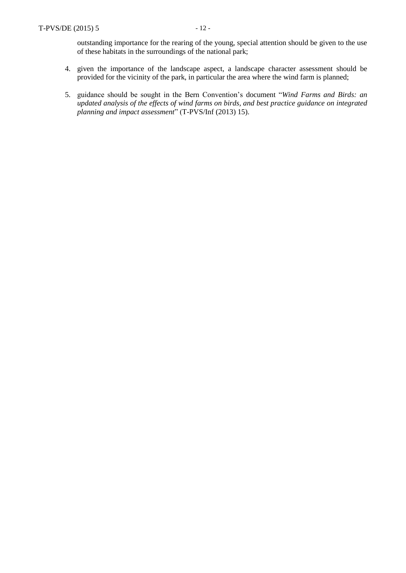outstanding importance for the rearing of the young, special attention should be given to the use of these habitats in the surroundings of the national park;

- 4. given the importance of the landscape aspect, a landscape character assessment should be provided for the vicinity of the park, in particular the area where the wind farm is planned;
- 5. guidance should be sought in the Bern Convention's document "*Wind Farms and Birds: an updated analysis of the effects of wind farms on birds, and best practice guidance on integrated planning and impact assessment*" (T-PVS/Inf (2013) 15).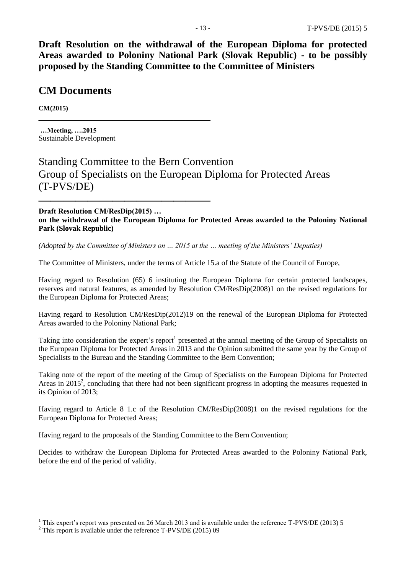**Draft Resolution on the withdrawal of the European Diploma for protected Areas awarded to Poloniny National Park (Slovak Republic) - to be possibly proposed by the Standing Committee to the Committee of Ministers**

### **CM Documents**

**CM(2015)**

**…Meeting, ….2015** Sustainable Development

**——————————————**

**——————————————**

# Standing Committee to the Bern Convention Group of Specialists on the European Diploma for Protected Areas (T-PVS/DE)

**Draft Resolution CM/ResDip(2015) … on the withdrawal of the European Diploma for Protected Areas awarded to the Poloniny National Park (Slovak Republic)**

*(Adopted by the Committee of Ministers on … 2015 at the … meeting of the Ministers' Deputies)*

The Committee of Ministers, under the terms of Article 15.a of the Statute of the Council of Europe,

Having regard to Resolution (65) 6 instituting the European Diploma for certain protected landscapes, reserves and natural features, as amended by Resolution CM/ResDip(2008)1 on the revised regulations for the European Diploma for Protected Areas;

Having regard to Resolution CM/ResDip(2012)19 on the renewal of the European Diploma for Protected Areas awarded to the Poloniny National Park;

Taking into consideration the expert's report<sup>1</sup> presented at the annual meeting of the Group of Specialists on the European Diploma for Protected Areas in 2013 and the Opinion submitted the same year by the Group of Specialists to the Bureau and the Standing Committee to the Bern Convention;

Taking note of the report of the meeting of the Group of Specialists on the European Diploma for Protected Areas in 2015<sup>2</sup>, concluding that there had not been significant progress in adopting the measures requested in its Opinion of 2013;

Having regard to Article 8 1.c of the Resolution CM/ResDip(2008)1 on the revised regulations for the European Diploma for Protected Areas;

Having regard to the proposals of the Standing Committee to the Bern Convention;

Decides to withdraw the European Diploma for Protected Areas awarded to the Poloniny National Park, before the end of the period of validity.

-

 $1$  This expert's report was presented on 26 March 2013 and is available under the reference T-PVS/DE (2013) 5

<sup>2</sup> This report is available under the reference T-PVS/DE (2015) 09